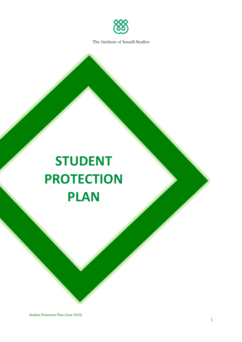

# **STUDENT PROTECTION PLAN**

Student Protection Plan (June 2019)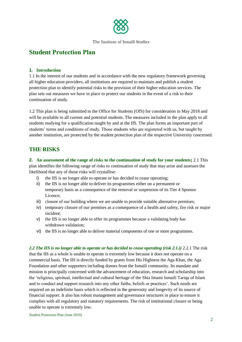

# **Student Protection Plan**

## **1. Introduction**

1.1 In the interest of our students and in accordance with the new regulatory framework governing all higher education providers, all institutions are required to maintain and publish a student protection plan to identify potential risks to the provision of their higher education services. The plan sets out measures we have in place to protect our students in the event of a risk to their continuation of study.

1.2 This plan is being submitted to the Office for Students (OfS) for consideration in May 2018 and will be available to all current and potential students. The measures included in the plan apply to all students studying for a qualification taught by and at the IIS. The plan forms an important part of students' terms and conditions of study. Those students who are registered with us, but taught by another institution, are protected by the student protection plan of the respective University concerned.

# **THE RISKS**

**2. An assessment of the range of risks to the continuation of study for your students;** 2.1 This plan identifies the following range of risks to continuation of study that may arise and assesses the likelihood that any of those risks will crystallise:

- i) the IIS is no longer able to operate or has decided to cease operating;
- ii) the IIS is no longer able to deliver its programmes either on a permanent or temporary basis as a consequence of the removal or suspension of its Tier 4 Sponsor Licence;
- iii) closure of our building where we are unable to provide suitable alternative premises;
- iv) temporary closure of our premises as a consequence of a health and safety, fire risk or major incident;
- v) the IIS is no longer able to offer its programmes because a validating body has withdrawn validation;
- vi) the IIS is no longer able to deliver material components of one or more programmes.

2.2 The IIS is no longer able to operate or has decided to cease operating (risk 2.1.*i*) 2.2.1 The risk that the IIS as a whole is unable to operate is extremely low because it does not operate on a commercial basis. The IIS is directly funded by grants from His Highness the Aga Khan, the Aga Foundation and other supporters including donors from the Ismaili community. Its mandate and mission is principally concerned with the advancement of education, research and scholarship into the 'religious, spiritual, intellectual and cultural heritage of the Shia Imami Ismaili Tariqa of Islam and to conduct and support research into any other faiths, beliefs or practices'. Such needs are required on an indefinite basis which is reflected in the generosity and longevity of its source of financial support. It also has robust management and governance structures in place to ensure it complies with all regulatory and statutory requirements. The risk of institutional closure or being unable to operate is extremely low.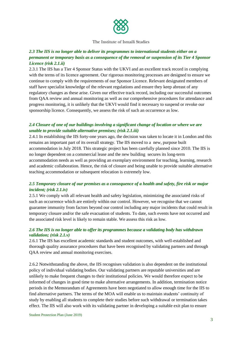

# *2.3 The IIS is no longer able to deliver its programmes to international students either on a permanent or temporary basis as a consequence of the removal or suspension of its Tier 4 Sponsor Licence (risk 2.1.ii)*

2.3.1 The IIS has a Tier 4 Sponsor Status with the UKVI and an excellent track record in complying with the terms of its licence agreement. Our rigorous monitoring processes are designed to ensure we continue to comply with the requirements of our Sponsor Licence. Relevant designated members of staff have specialist knowledge of the relevant regulations and ensure they keep abreast of any regulatory changes as these arise. Given our effective track record, including our successful outcomes from QAA review and annual monitoring as well as our comprehensive procedures for attendance and progress monitoring, it is unlikely that the UKVI would find it necessary to suspend or revoke our sponsorship licence. Consequently, we assess the risk of such an occurrence as low.

# *2.4 Closure of one of our buildings involving a significant change of location or where we are unable to provide suitable alternative premises; (risk 2.1.iii)*

2.4.1 In establishing the IIS forty-one years ago, the decision was taken to locate it in London and this remains an important part of its overall strategy. The IIS moved to a new, purpose built accommodation in July 2018. This strategic project has been carefully planned since 2010. The IIS is no longer dependent on a commercial lease and the new building secures its long-term accommodation needs as well as providing an exemplary environment for teaching, learning, research and academic collaboration. Hence, the risk of closure and being unable to provide suitable alternative teaching accommodation or subsequent relocation is extremely low.

# *2.5 Temporary closure of our premises as a consequence of a health and safety, fire risk or major incident; (risk 2.1.iv)*

2.5.1 We comply with all relevant health and safety legislation, minimizing the associated risks of such an occurrence which are entirely within our control. However, we recognise that we cannot guarantee immunity from factors beyond our control including any major incidents that could result in temporary closure and/or the safe evacuation of students. To date, such events have not occurred and the associated risk level is likely to remain stable. We assess this risk as low.

## *2.6 The IIS is no longer able to offer its programmes because a validating body has withdrawn validation; (risk 2.1.v)*

2.6.1 The IIS has excellent academic standards and student outcomes, with well-established and thorough quality assurance procedures that have been recognised by validating partners and through QAA review and annual monitoring exercises.

2.6.2 Notwithstanding the above, the IIS recognises validation is also dependent on the institutional policy of individual validating bodies. Our validating partners are reputable universities and are unlikely to make frequent changes to their institutional policies. We would therefore expect to be informed of changes in good time to make alternative arrangements. In addition, termination notice periods in the Memorandum of Agreements have been negotiated to allow enough time for the IIS to find alternative partners. The terms of the MOA will enable us to maintain students' continuity of study by enabling all students to complete their studies before such withdrawal or termination takes effect. The IIS will also work with its validating partner in developing a suitable exit plan to ensure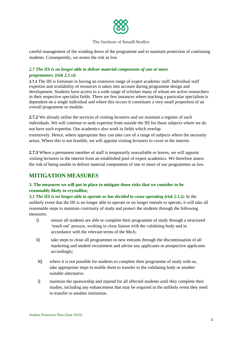

careful management of the winding down of the programme and to maintain protection of continuing students. Consequently, we assess the risk as low

# *2.7 The IIS is no longer able to deliver material components of one or more programmes; (risk 2.1.vi)*

**2.7.1** The IIS is fortunate in having an extensive range of expert academic staff. Individual staff expertise and availability of resources is taken into account during programme design and development. Students have access to a wide range of scholars many of whom are active researchers in their respective specialist fields. There are few instances where teaching a particular specialism is dependent on a single individual and where this occurs it constitutes a very small proportion of an overall programme or module.

**2.7.2** We already utilise the services of visiting lecturers and we maintain a register of such individuals. We will continue to seek expertise from outside the IIS for those subjects where we do not have such expertise. Our academics also work in fields which overlap extensively. Hence, where appropriate they can take care of a range of subjects where the necessity arises. Where this is not feasible, we will appoint visiting lecturers to cover in the interim.

**2.7.3** Where a permanent member of staff is temporarily unavailable or leaves, we will appoint visiting lecturers in the interim from an established pool of expert academics. We therefore assess the risk of being unable to deliver material components of one or more of our programmes as low.

# **MITIGATION MEASURES**

# **3. The measures we will put in place to mitigate those risks that we consider to be reasonably likely to crystallise;**

*3.1 The IIS is no longer able to operate or has decided to cease operating (risk 2.1.i);* In the unlikely event that the IIS is no longer able to operate or no longer intends to operate, it will take all reasonable steps to maintain continuity of study and protect the students through the following measures:

- i) ensure all students are able to complete their programme of study through a structured 'teach out' process, working in close liaison with the validating body and in accordance with the relevant terms of the MoA;
- ii) take steps to close all programmes to new entrants through the discontinuation of all marketing and student recruitment and advise any applicants or prospective applicants accordingly;
- iii) where it is not possible for students to complete their programme of study with us, take appropriate steps to enable them to transfer to the validating body or another suitable alternative.
- i) maintain the sponsorship and stipend for all affected students until they complete their studies, including any enhancement that may be required in the unlikely event they need to transfer to another institution.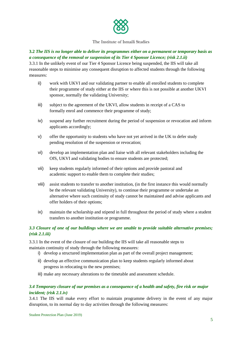

# **3.2** *The IIS is no longer able to deliver its programmes either on a permanent or temporary basis as a consequence of the removal or suspension of its Tier 4 Sponsor Licence; (risk 2.1.ii)*

3.3.1 In the unlikely event of our Tier 4 Sponsor Licence being suspended, the IIS will take all reasonable steps to minimise any consequent disruption to affected students through the following measures:

- ii) work with UKVI and our validating partner to enable all enrolled students to complete their programme of study either at the IIS or where this is not possible at another UKVI sponsor, normally the validating University;
- iii) subject to the agreement of the UKVI, allow students in receipt of a CAS to formally enrol and commence their programme of study;
- iv) suspend any further recruitment during the period of suspension or revocation and inform applicants accordingly;
- v) offer the opportunity to students who have not yet arrived in the UK to defer study pending resolution of the suspension or revocation;
- vi) develop an implementation plan and liaise with all relevant stakeholders including the OfS, UKVI and validating bodies to ensure students are protected;
- vii) keep students regularly informed of their options and provide pastoral and academic support to enable them to complete their studies;
- viii) assist students to transfer to another institution, (in the first instance this would normally be the relevant validating University), to continue their programme or undertake an alternative where such continuity of study cannot be maintained and advise applicants and offer holders of their options;
- ix) maintain the scholarship and stipend in full throughout the period of study where a student transfers to another institution or programme.

# *3.3 Closure of one of our buildings where we are unable to provide suitable alternative premises; (risk 2.1.iii)*

3.3.1 In the event of the closure of our building the IIS will take all reasonable steps to maintain continuity of study through the following measures:

- i) develop a structured implementation plan as part of the overall project management;
- ii) develop an effective communication plan to keep students regularly informed about progress in relocating to the new premises;
- iii) make any necessary alterations to the timetable and assessment schedule.

# *3.4 Temporary closure of our premises as a consequence of a health and safety, fire risk or major incident; (risk 2.1.iv)*

3.4.1 The IIS will make every effort to maintain programme delivery in the event of any major disruption, to its normal day to day activities through the following measures: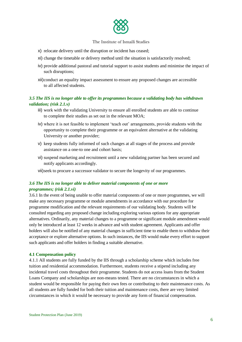

- x) relocate delivery until the disruption or incident has ceased;
- xi) change the timetable or delivery method until the situation is satisfactorily resolved;
- iv) provide additional pastoral and tutorial support to assist students and minimise the impact of such disruptions;
- xii)conduct an equality impact assessment to ensure any proposed changes are accessible to all affected students.

# *3.5 The IIS is no longer able to offer its programmes because a validating body has withdrawn validation; (risk 2.1.v)*

- iii) work with the validating University to ensure all enrolled students are able to continue to complete their studies as set out in the relevant MOA;
- iv) where it is not feasible to implement 'teach out' arrangements, provide students with the opportunity to complete their programme or an equivalent alternative at the validating University or another provider;
- v) keep students fully informed of such changes at all stages of the process and provide assistance on a one-to one and cohort basis;
- vi) suspend marketing and recruitment until a new validating partner has been secured and notify applicants accordingly.

vii)seek to procure a successor validator to secure the longevity of our programmes.

# *3.6 The IIS is no longer able to deliver material components of one or more programmes; (risk 2.1.vi)*

3.6.1 In the event of being unable to offer material components of one or more programmes, we will make any necessary programme or module amendments in accordance with our procedure for programme modification and the relevant requirements of our validating body. Students will be consulted regarding any proposed change including exploring various options for any appropriate alternatives. Ordinarily, any material changes to a programme or significant module amendment would only be introduced at least 12 weeks in advance and with student agreement. Applicants and offer holders will also be notified of any material changes in sufficient time to enable them to withdraw their acceptance or explore alternative options. In such instances, the IIS would make every effort to support such applicants and offer holders in finding a suitable alternative.

#### **4.1 Compensation policy**

4.1.1 All students are fully funded by the IIS through a scholarship scheme which includes free tuition and residential accommodation. Furthermore, students receive a stipend including any incidental travel costs throughout their programme. Students do not access loans from the Student Loans Company and scholarships are non-means tested. There are no circumstances in which a student would be responsible for paying their own fees or contributing to their maintenance costs. As all students are fully funded for both their tuition and maintenance costs, there are very limited circumstances in which it would be necessary to provide any form of financial compensation.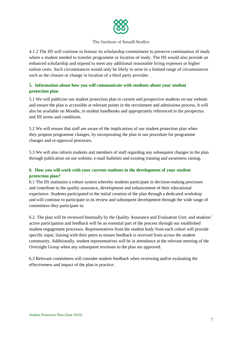

4.1.2 The IIS will continue to honour its scholarship commitment to preserve continuation of study where a student needed to transfer programme or location of study. The IIS would also provide an enhanced scholarship and stipend to meet any additional reasonable living expenses or higher tuition costs. Such circumstances would only be likely to arise in a limited range of circumstances such as the closure or change in location of a third party provider.

# **5. Information about how you will communicate with students about your student protection plan**

5.1 We will publicise our student protection plan to current and prospective students on our website and ensure the plan is accessible at relevant points in the recruitment and admissions process. It will also be available on Moodle, in student handbooks and appropriately referenced in the prospectus and IIS terms and conditions.

5.2 We will ensure that staff are aware of the implications of our student protection plan when they propose programme changes, by incorporating the plan in our procedure for programme changes and re-approval processes.

5.3 We will also inform students and members of staff regarding any subsequent changes to the plan through publication on our website, e-mail bulletins and existing training and awareness raising.

# **6. How you will work with your current students in the development of your student protection plan?**

6.1 The IIS maintains a robust system whereby students participate in decision-making processes and contribute to the quality assurance, development and enhancement of their educational experience. Students participated in the initial creation of the plan through a dedicated workshop and will continue to participate in its review and subsequent development through the wide range of committees they participate in.

6.2. The plan will be reviewed biennially by the Quality Assurance and Evaluation Unit, and students' active participation and feedback will be an essential part of the process through our established student engagement processes. Representatives from the student body from each cohort will provide specific input, liaising with their peers to ensure feedback is received from across the student community. Additionally, student representatives will be in attendance at the relevant meeting of the Oversight Group when any subsequent revisions to the plan are approved.

6.3 Relevant committees will consider student feedback when reviewing and/or evaluating the effectiveness and impact of the plan in practice.